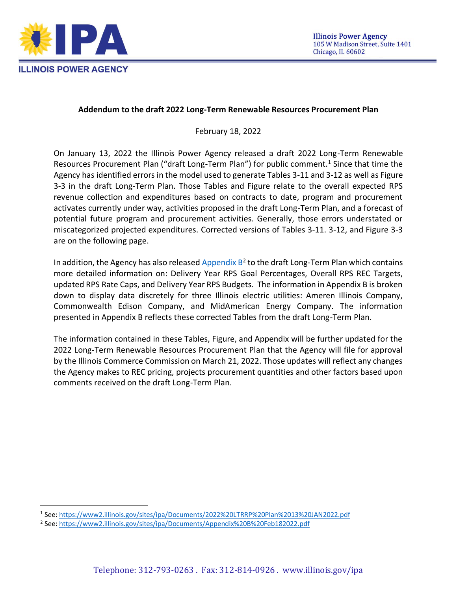

## **Addendum to the draft 2022 Long-Term Renewable Resources Procurement Plan**

February 18, 2022

On January 13, 2022 the Illinois Power Agency released a draft 2022 Long-Term Renewable Resources Procurement Plan ("draft Long-Term Plan") for public comment.<sup>1</sup> Since that time the Agency has identified errors in the model used to generate Tables 3-11 and 3-12 as well as Figure 3-3 in the draft Long-Term Plan. Those Tables and Figure relate to the overall expected RPS revenue collection and expenditures based on contracts to date, program and procurement activates currently under way, activities proposed in the draft Long-Term Plan, and a forecast of potential future program and procurement activities. Generally, those errors understated or miscategorized projected expenditures. Corrected versions of Tables 3-11. 3-12, and Figure 3-3 are on the following page.

In addition, the Agency has also released  $\Delta$ ppendix  $B^2$  to the draft Long-Term Plan which contains more detailed information on: Delivery Year RPS Goal Percentages, Overall RPS REC Targets, updated RPS Rate Caps, and Delivery Year RPS Budgets. The information in Appendix B is broken down to display data discretely for three Illinois electric utilities: Ameren Illinois Company, Commonwealth Edison Company, and MidAmerican Energy Company. The information presented in Appendix B reflects these corrected Tables from the draft Long-Term Plan.

The information contained in these Tables, Figure, and Appendix will be further updated for the 2022 Long-Term Renewable Resources Procurement Plan that the Agency will file for approval by the Illinois Commerce Commission on March 21, 2022. Those updates will reflect any changes the Agency makes to REC pricing, projects procurement quantities and other factors based upon comments received on the draft Long-Term Plan.

<sup>1</sup> See[: https://www2.illinois.gov/sites/ipa/Documents/2022%20LTRRP%20Plan%2013%20JAN2022.pdf](https://www2.illinois.gov/sites/ipa/Documents/2022%20LTRRP%20Plan%2013%20JAN2022.pdf)

<sup>&</sup>lt;sup>2</sup> See: <u>https://www2.illinois.gov/sites/ipa/Documents/Appendix%20B%20Feb182022.pdf</u>